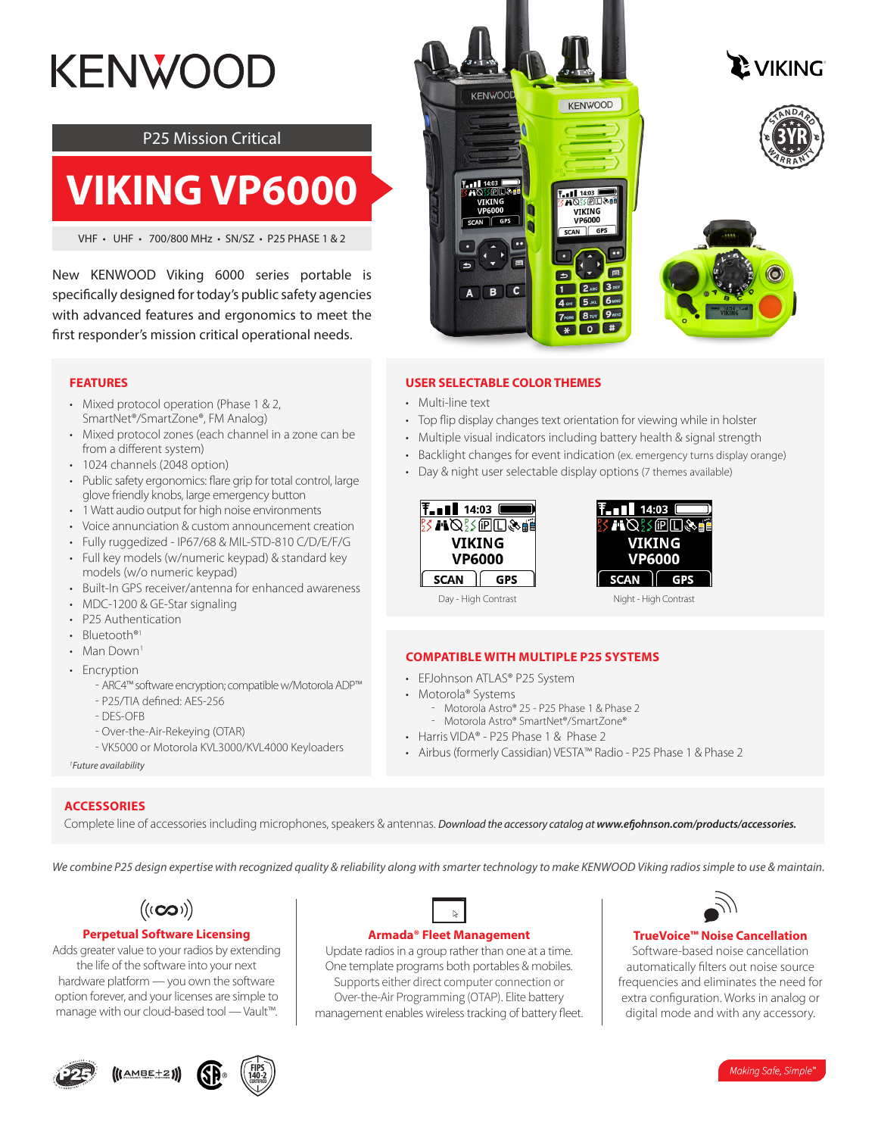# **KENWOOD**

#### P25 Mission Critical

## **VIKING VP6000**

VHF • UHF • 700/800 MHz • SN/SZ • P25 PHASE 1 & 2

New KENWOOD Viking 6000 series portable is specifically designed for today's public safety agencies with advanced features and ergonomics to meet the first responder's mission critical operational needs.

#### **FEATURES**

- Mixed protocol operation (Phase 1 & 2, SmartNet®/SmartZone®, FM Analog)
- Mixed protocol zones (each channel in a zone can be from a different system)
- 1024 channels (2048 option)
- Public safety ergonomics: flare grip for total control, large glove friendly knobs, large emergency button
- 1 Watt audio output for high noise environments
- Voice annunciation & custom announcement creation
- Fully ruggedized IP67/68 & MIL-STD-810 C/D/E/F/G
- Full key models (w/numeric keypad) & standard key
- models (w/o numeric keypad)
- Built-In GPS receiver/antenna for enhanced awareness
- MDC-1200 & GE-Star signaling
- P25 Authentication
- Bluetooth<sup>®1</sup>
- Man Down<sup>1</sup>
- Encryption
	- ʰ ARC4™ software encryption; compatible w/Motorola ADP™
	- P25/TIA defined: AES-256
	- DES-OFB
	- Over-the-Air-Rekeying (OTAR)
	- VK5000 or Motorola KVL3000/KVL4000 Keyloaders

*1 Future availability*

#### **ACCESSORIES**

Complete line of accessories including microphones, speakers & antennas. *Download the accessory catalog at www.efjohnson.com/products/accessories.*

*We combine P25 design expertise with recognized quality & reliability along with smarter technology to make KENWOOD Viking radios simple to use & maintain.*



#### **Perpetual Software Licensing**

Adds greater value to your radios by extending the life of the software into your next hardware platform — you own the software option forever, and your licenses are simple to manage with our cloud-based tool — Vault™.





#### Update radios in a group rather than one at a time. One template programs both portables & mobiles. Supports either direct computer connection or Over-the-Air Programming (OTAP). Elite battery

management enables wireless tracking of battery fleet.



#### **TrueVoice™ Noise Cancellation**

Software-based noise cancellation automatically filters out noise source frequencies and eliminates the need for extra configuration. Works in analog or digital mode and with any accessory.

#### **USER SELECTABLE COLOR THEMES**

**KENWOO** 

VIKING<br>VP6000

SCAN GPS

A B C

- Multi-line text
- Top flip display changes text orientation for viewing while in holster

**KENWOOD** 

 $-1$  14:03  $\overline{m}$ 

 $\overline{\mathbf{b}}$ 

 $\overline{\mathbf{1}}$ 

VIKING<br>VP6000

AN GPS

2 ABC 3 DEF

4 GHI 5 JKL 6 MNO 7PORS 8 TUV 9 WXZ  $*$  0  $*$ 

日

- Multiple visual indicators including battery health & signal strength
- Backlight changes for event indication (ex. emergency turns display orange)
- Day & night user selectable display options (7 themes available)





Day - High Contrast Night - High Contrast

#### **COMPATIBLE WITH MULTIPLE P25 SYSTEMS**

- EFJohnson ATLAS® P25 System
- Motorola® Systems
	- Motorola Astro® 25 P25 Phase 1 & Phase 2
	- Motorola Astro® SmartNet®/SmartZone®
- Harris VIDA® P25 Phase 1 & Phase 2
- Airbus (formerly Cassidian) VESTA™ Radio P25 Phase 1 & Phase 2